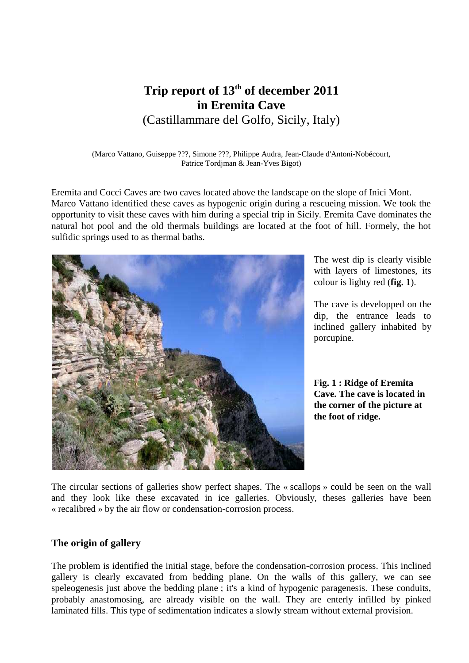# **Trip report of 13th of december 2011 in Eremita Cave** (Castillammare del Golfo, Sicily, Italy)

(Marco Vattano, Guiseppe ???, Simone ???, Philippe Audra, Jean-Claude d'Antoni-Nobécourt, Patrice Tordjman & Jean-Yves Bigot)

Eremita and Cocci Caves are two caves located above the landscape on the slope of Inici Mont. Marco Vattano identified these caves as hypogenic origin during a rescueing mission. We took the opportunity to visit these caves with him during a special trip in Sicily. Eremita Cave dominates the natural hot pool and the old thermals buildings are located at the foot of hill. Formely, the hot sulfidic springs used to as thermal baths.



The west dip is clearly visible with layers of limestones, its colour is lighty red (**fig. 1**).

The cave is developped on the dip, the entrance leads to inclined gallery inhabited by porcupine.

**Fig. 1 : Ridge of Eremita Cave. The cave is located in the corner of the picture at the foot of ridge.**

The circular sections of galleries show perfect shapes. The « scallops » could be seen on the wall and they look like these excavated in ice galleries. Obviously, theses galleries have been « recalibred » by the air flow or condensation-corrosion process.

#### **The origin of gallery**

The problem is identified the initial stage, before the condensation-corrosion process. This inclined gallery is clearly excavated from bedding plane. On the walls of this gallery, we can see speleogenesis just above the bedding plane ; it's a kind of hypogenic paragenesis. These conduits, probably anastomosing, are already visible on the wall. They are enterly infilled by pinked laminated fills. This type of sedimentation indicates a slowly stream without external provision.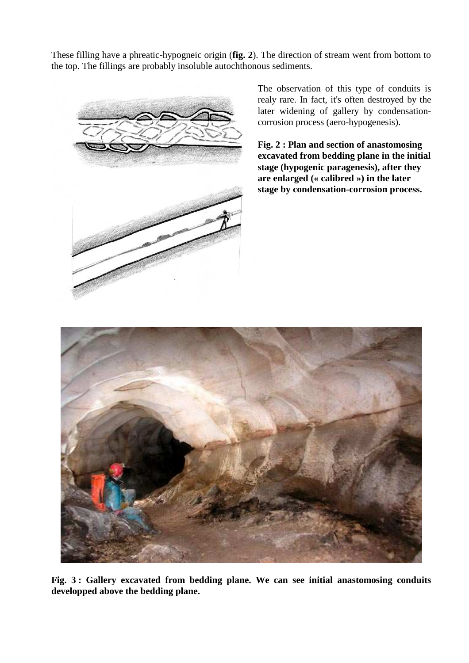These filling have a phreatic-hypogneic origin (**fig. 2**). The direction of stream went from bottom to the top. The fillings are probably insoluble autochthonous sediments.



The observation of this type of conduits is realy rare. In fact, it's often destroyed by the later widening of gallery by condensationcorrosion process (aero-hypogenesis).

**Fig. 2 : Plan and section of anastomosing excavated from bedding plane in the initial stage (hypogenic paragenesis), after they are enlarged (« calibred ») in the later stage by condensation-corrosion process.**



**Fig. 3 : Gallery excavated from bedding plane. We can see initial anastomosing conduits developped above the bedding plane.**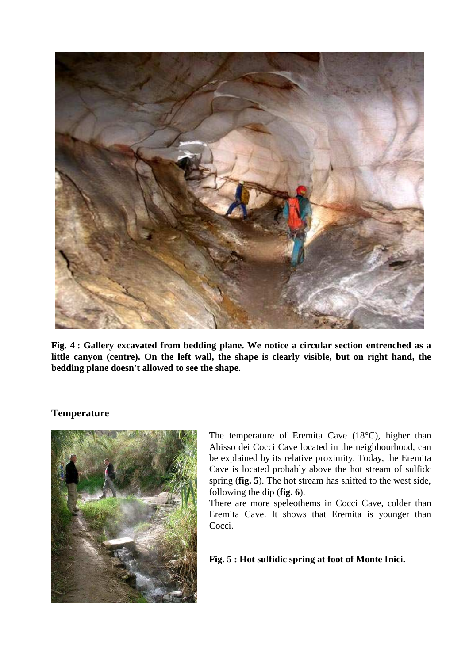

**Fig. 4 : Gallery excavated from bedding plane. We notice a circular section entrenched as a little canyon (centre). On the left wall, the shape is clearly visible, but on right hand, the bedding plane doesn't allowed to see the shape.**

# **Temperature**



The temperature of Eremita Cave (18°C), higher than Abisso dei Cocci Cave located in the neighbourhood, can be explained by its relative proximity. Today, the Eremita Cave is located probably above the hot stream of sulfidc spring (**fig. 5**). The hot stream has shifted to the west side, following the dip (**fig. 6**).

There are more speleothems in Cocci Cave, colder than Eremita Cave. It shows that Eremita is younger than Cocci.

# **Fig. 5 : Hot sulfidic spring at foot of Monte Inici.**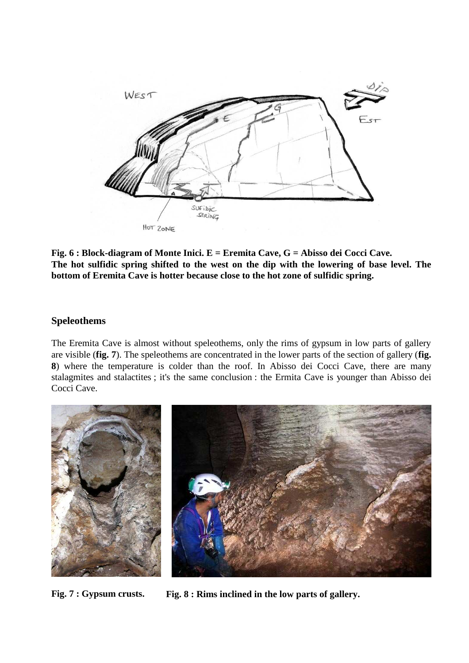

**Fig. 6 : Block-diagram of Monte Inici. E = Eremita Cave, G = Abisso dei Cocci Cave. The hot sulfidic spring shifted to the west on the dip with the lowering of base level. The bottom of Eremita Cave is hotter because close to the hot zone of sulfidic spring.**

# **Speleothems**

The Eremita Cave is almost without speleothems, only the rims of gypsum in low parts of gallery are visible (**fig. 7**). The speleothems are concentrated in the lower parts of the section of gallery (**fig. 8**) where the temperature is colder than the roof. In Abisso dei Cocci Cave, there are many stalagmites and stalactites ; it's the same conclusion : the Ermita Cave is younger than Abisso dei Cocci Cave.



**Fig. 7 : Gypsum crusts. Fig. 8 : Rims inclined in the low parts of gallery.**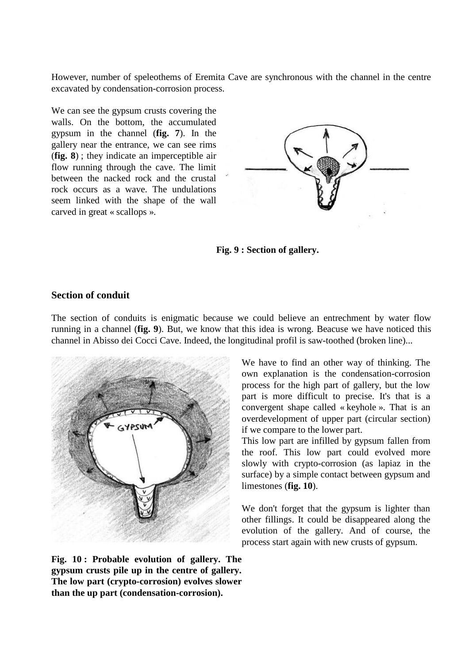However, number of speleothems of Eremita Cave are synchronous with the channel in the centre excavated by condensation-corrosion process.

We can see the gypsum crusts covering the walls. On the bottom, the accumulated gypsum in the channel (**fig. 7**). In the gallery near the entrance, we can see rims (**fig. 8**) ; they indicate an imperceptible air flow running through the cave. The limit between the nacked rock and the crustal rock occurs as a wave. The undulations seem linked with the shape of the wall carved in great « scallops ».





#### **Section of conduit**

The section of conduits is enigmatic because we could believe an entrechment by water flow running in a channel (**fig. 9**). But, we know that this idea is wrong. Beacuse we have noticed this channel in Abisso dei Cocci Cave. Indeed, the longitudinal profil is saw-toothed (broken line)...



**Fig. 10 : Probable evolution of gallery. The gypsum crusts pile up in the centre of gallery. The low part (crypto-corrosion) evolves slower than the up part (condensation-corrosion).**

We have to find an other way of thinking. The own explanation is the condensation-corrosion process for the high part of gallery, but the low part is more difficult to precise. It's that is a convergent shape called « keyhole ». That is an overdevelopment of upper part (circular section) if we compare to the lower part.

This low part are infilled by gypsum fallen from the roof. This low part could evolved more slowly with crypto-corrosion (as lapiaz in the surface) by a simple contact between gypsum and limestones (**fig. 10**).

We don't forget that the gypsum is lighter than other fillings. It could be disappeared along the evolution of the gallery. And of course, the process start again with new crusts of gypsum.